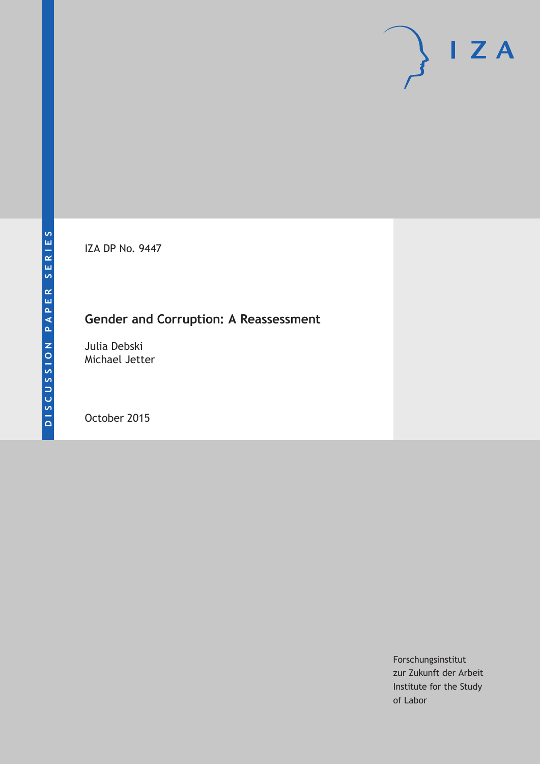IZA DP No. 9447

## **Gender and Corruption: A Reassessment**

Julia Debski Michael Jetter

October 2015

Forschungsinstitut zur Zukunft der Arbeit Institute for the Study of Labor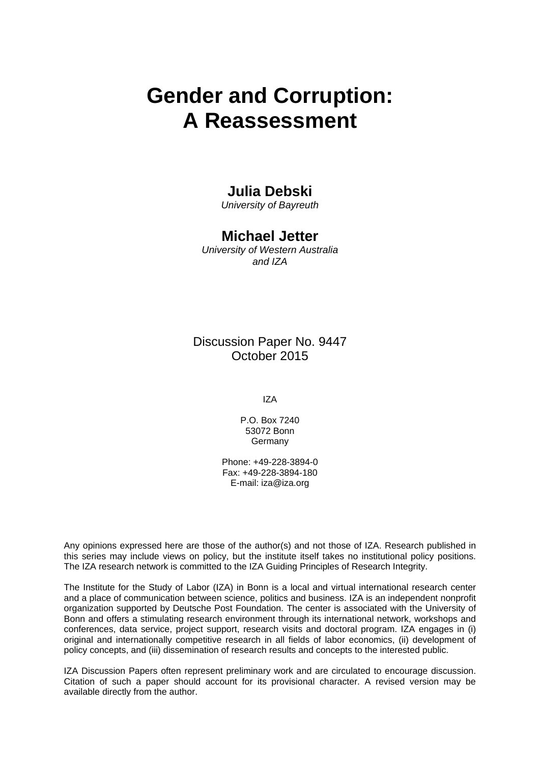# **Gender and Corruption: A Reassessment**

## **Julia Debski**

*University of Bayreuth* 

## **Michael Jetter**

*University of Western Australia and IZA* 

Discussion Paper No. 9447 October 2015

IZA

P.O. Box 7240 53072 Bonn **Germany** 

Phone: +49-228-3894-0 Fax: +49-228-3894-180 E-mail: iza@iza.org

Any opinions expressed here are those of the author(s) and not those of IZA. Research published in this series may include views on policy, but the institute itself takes no institutional policy positions. The IZA research network is committed to the IZA Guiding Principles of Research Integrity.

The Institute for the Study of Labor (IZA) in Bonn is a local and virtual international research center and a place of communication between science, politics and business. IZA is an independent nonprofit organization supported by Deutsche Post Foundation. The center is associated with the University of Bonn and offers a stimulating research environment through its international network, workshops and conferences, data service, project support, research visits and doctoral program. IZA engages in (i) original and internationally competitive research in all fields of labor economics, (ii) development of policy concepts, and (iii) dissemination of research results and concepts to the interested public.

IZA Discussion Papers often represent preliminary work and are circulated to encourage discussion. Citation of such a paper should account for its provisional character. A revised version may be available directly from the author.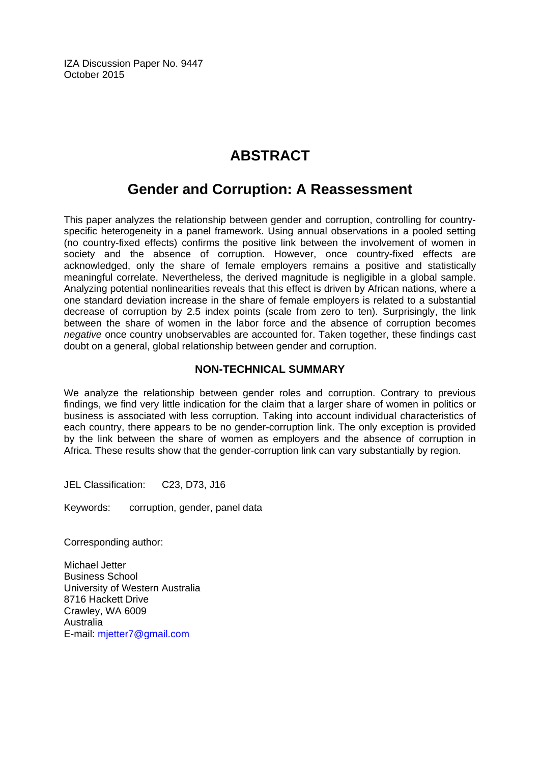IZA Discussion Paper No. 9447 October 2015

## **ABSTRACT**

## **Gender and Corruption: A Reassessment**

This paper analyzes the relationship between gender and corruption, controlling for countryspecific heterogeneity in a panel framework. Using annual observations in a pooled setting (no country-fixed effects) confirms the positive link between the involvement of women in society and the absence of corruption. However, once country-fixed effects are acknowledged, only the share of female employers remains a positive and statistically meaningful correlate. Nevertheless, the derived magnitude is negligible in a global sample. Analyzing potential nonlinearities reveals that this effect is driven by African nations, where a one standard deviation increase in the share of female employers is related to a substantial decrease of corruption by 2.5 index points (scale from zero to ten). Surprisingly, the link between the share of women in the labor force and the absence of corruption becomes *negative* once country unobservables are accounted for. Taken together, these findings cast doubt on a general, global relationship between gender and corruption.

### **NON-TECHNICAL SUMMARY**

We analyze the relationship between gender roles and corruption. Contrary to previous findings, we find very little indication for the claim that a larger share of women in politics or business is associated with less corruption. Taking into account individual characteristics of each country, there appears to be no gender-corruption link. The only exception is provided by the link between the share of women as employers and the absence of corruption in Africa. These results show that the gender-corruption link can vary substantially by region.

JEL Classification: C23, D73, J16

Keywords: corruption, gender, panel data

Corresponding author:

Michael Jetter Business School University of Western Australia 8716 Hackett Drive Crawley, WA 6009 Australia E-mail: mjetter7@gmail.com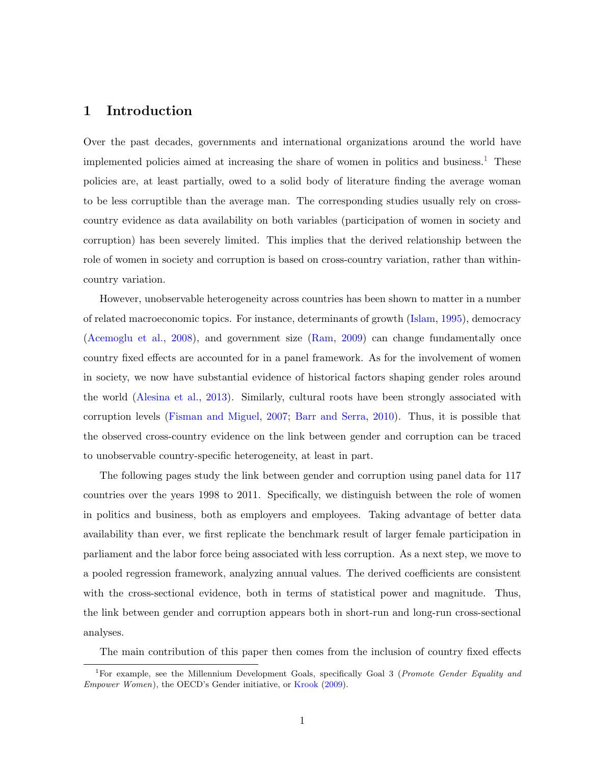## 1 Introduction

Over the past decades, governments and international organizations around the world have implemented policies aimed at increasing the share of women in politics and business.<sup>[1](#page-3-0)</sup> These policies are, at least partially, owed to a solid body of literature finding the average woman to be less corruptible than the average man. The corresponding studies usually rely on crosscountry evidence as data availability on both variables (participation of women in society and corruption) has been severely limited. This implies that the derived relationship between the role of women in society and corruption is based on cross-country variation, rather than withincountry variation.

However, unobservable heterogeneity across countries has been shown to matter in a number of related macroeconomic topics. For instance, determinants of growth [\(Islam,](#page-23-0) [1995\)](#page-23-0), democracy [\(Acemoglu et al.,](#page-22-0) [2008\)](#page-22-0), and government size [\(Ram,](#page-24-0) [2009\)](#page-24-0) can change fundamentally once country fixed effects are accounted for in a panel framework. As for the involvement of women in society, we now have substantial evidence of historical factors shaping gender roles around the world [\(Alesina et al.,](#page-22-1) [2013\)](#page-22-1). Similarly, cultural roots have been strongly associated with corruption levels [\(Fisman and Miguel,](#page-23-1) [2007;](#page-23-1) [Barr and Serra,](#page-22-2) [2010\)](#page-22-2). Thus, it is possible that the observed cross-country evidence on the link between gender and corruption can be traced to unobservable country-specific heterogeneity, at least in part.

The following pages study the link between gender and corruption using panel data for 117 countries over the years 1998 to 2011. Specifically, we distinguish between the role of women in politics and business, both as employers and employees. Taking advantage of better data availability than ever, we first replicate the benchmark result of larger female participation in parliament and the labor force being associated with less corruption. As a next step, we move to a pooled regression framework, analyzing annual values. The derived coefficients are consistent with the cross-sectional evidence, both in terms of statistical power and magnitude. Thus, the link between gender and corruption appears both in short-run and long-run cross-sectional analyses.

The main contribution of this paper then comes from the inclusion of country fixed effects

<span id="page-3-0"></span><sup>&</sup>lt;sup>1</sup>For example, see the Millennium Development Goals, specifically Goal 3 (Promote Gender Equality and Empower Women), the OECD's Gender initiative, or [Krook](#page-24-1) [\(2009\)](#page-24-1).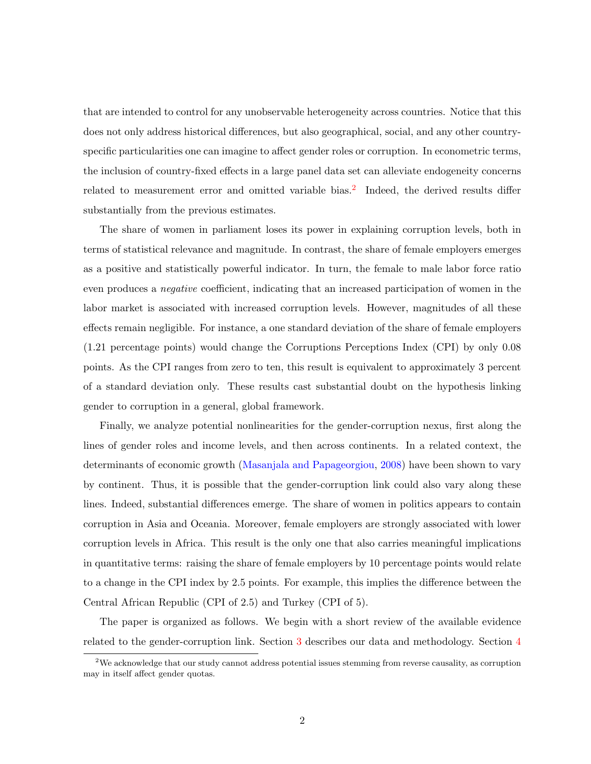that are intended to control for any unobservable heterogeneity across countries. Notice that this does not only address historical differences, but also geographical, social, and any other countryspecific particularities one can imagine to affect gender roles or corruption. In econometric terms, the inclusion of country-fixed effects in a large panel data set can alleviate endogeneity concerns related to measurement error and omitted variable bias.<sup>[2](#page-4-0)</sup> Indeed, the derived results differ substantially from the previous estimates.

The share of women in parliament loses its power in explaining corruption levels, both in terms of statistical relevance and magnitude. In contrast, the share of female employers emerges as a positive and statistically powerful indicator. In turn, the female to male labor force ratio even produces a negative coefficient, indicating that an increased participation of women in the labor market is associated with increased corruption levels. However, magnitudes of all these effects remain negligible. For instance, a one standard deviation of the share of female employers (1.21 percentage points) would change the Corruptions Perceptions Index (CPI) by only 0.08 points. As the CPI ranges from zero to ten, this result is equivalent to approximately 3 percent of a standard deviation only. These results cast substantial doubt on the hypothesis linking gender to corruption in a general, global framework.

Finally, we analyze potential nonlinearities for the gender-corruption nexus, first along the lines of gender roles and income levels, and then across continents. In a related context, the determinants of economic growth [\(Masanjala and Papageorgiou,](#page-24-2) [2008\)](#page-24-2) have been shown to vary by continent. Thus, it is possible that the gender-corruption link could also vary along these lines. Indeed, substantial differences emerge. The share of women in politics appears to contain corruption in Asia and Oceania. Moreover, female employers are strongly associated with lower corruption levels in Africa. This result is the only one that also carries meaningful implications in quantitative terms: raising the share of female employers by 10 percentage points would relate to a change in the CPI index by 2.5 points. For example, this implies the difference between the Central African Republic (CPI of 2.5) and Turkey (CPI of 5).

The paper is organized as follows. We begin with a short review of the available evidence related to the gender-corruption link. Section [3](#page-7-0) describes our data and methodology. Section [4](#page-12-0)

<span id="page-4-0"></span><sup>&</sup>lt;sup>2</sup>We acknowledge that our study cannot address potential issues stemming from reverse causality, as corruption may in itself affect gender quotas.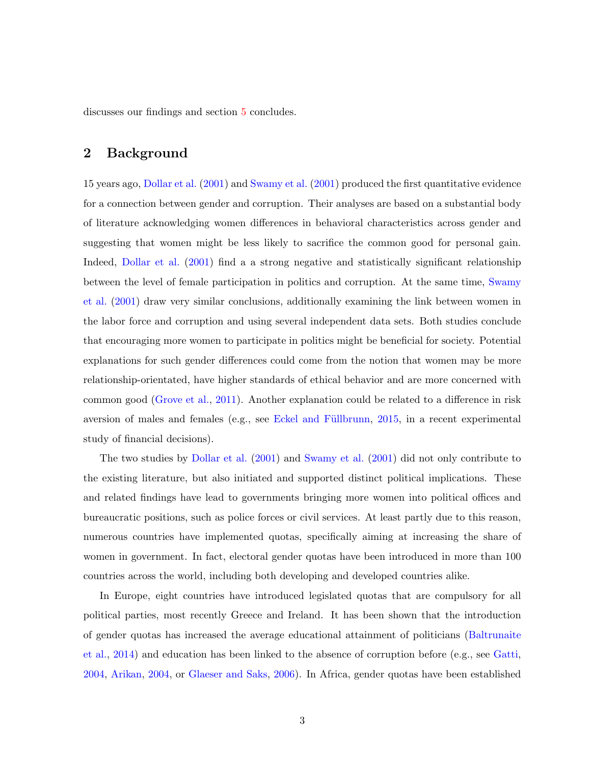discusses our findings and section [5](#page-21-0) concludes.

### 2 Background

15 years ago, [Dollar et al.](#page-23-2) [\(2001\)](#page-23-2) and [Swamy et al.](#page-24-3) [\(2001\)](#page-24-3) produced the first quantitative evidence for a connection between gender and corruption. Their analyses are based on a substantial body of literature acknowledging women differences in behavioral characteristics across gender and suggesting that women might be less likely to sacrifice the common good for personal gain. Indeed, [Dollar et al.](#page-23-2) [\(2001\)](#page-23-2) find a a strong negative and statistically significant relationship between the level of female participation in politics and corruption. At the same time, [Swamy](#page-24-3) [et al.](#page-24-3) [\(2001\)](#page-24-3) draw very similar conclusions, additionally examining the link between women in the labor force and corruption and using several independent data sets. Both studies conclude that encouraging more women to participate in politics might be beneficial for society. Potential explanations for such gender differences could come from the notion that women may be more relationship-orientated, have higher standards of ethical behavior and are more concerned with common good [\(Grove et al.,](#page-23-3) [2011\)](#page-23-3). Another explanation could be related to a difference in risk aversion of males and females (e.g., see Eckel and Füllbrunn, [2015,](#page-23-4) in a recent experimental study of financial decisions).

The two studies by [Dollar et al.](#page-23-2) [\(2001\)](#page-23-2) and [Swamy et al.](#page-24-3) [\(2001\)](#page-24-3) did not only contribute to the existing literature, but also initiated and supported distinct political implications. These and related findings have lead to governments bringing more women into political offices and bureaucratic positions, such as police forces or civil services. At least partly due to this reason, numerous countries have implemented quotas, specifically aiming at increasing the share of women in government. In fact, electoral gender quotas have been introduced in more than 100 countries across the world, including both developing and developed countries alike.

In Europe, eight countries have introduced legislated quotas that are compulsory for all political parties, most recently Greece and Ireland. It has been shown that the introduction of gender quotas has increased the average educational attainment of politicians [\(Baltrunaite](#page-22-3) [et al.,](#page-22-3) [2014\)](#page-22-3) and education has been linked to the absence of corruption before (e.g., see [Gatti,](#page-23-5) [2004,](#page-23-5) [Arikan,](#page-22-4) [2004,](#page-22-4) or [Glaeser and Saks,](#page-23-6) [2006\)](#page-23-6). In Africa, gender quotas have been established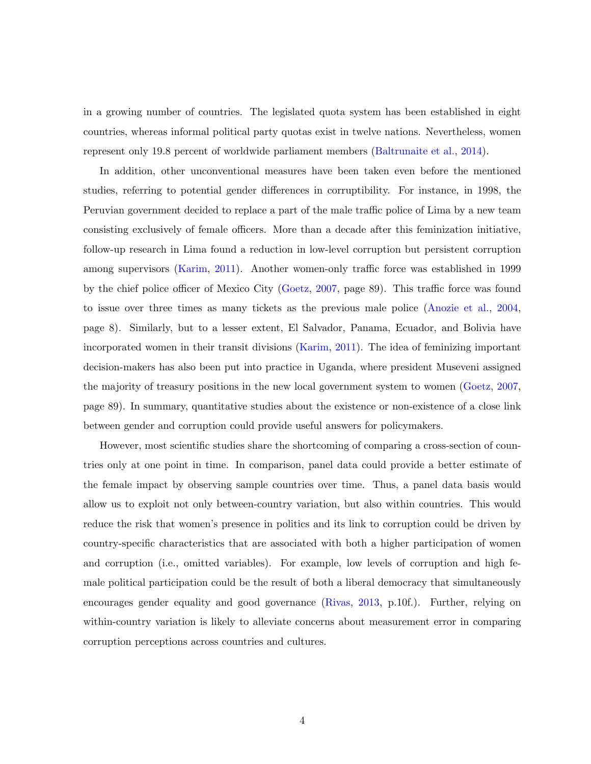in a growing number of countries. The legislated quota system has been established in eight countries, whereas informal political party quotas exist in twelve nations. Nevertheless, women represent only 19.8 percent of worldwide parliament members [\(Baltrunaite et al.,](#page-22-3) [2014\)](#page-22-3).

In addition, other unconventional measures have been taken even before the mentioned studies, referring to potential gender differences in corruptibility. For instance, in 1998, the Peruvian government decided to replace a part of the male traffic police of Lima by a new team consisting exclusively of female officers. More than a decade after this feminization initiative, follow-up research in Lima found a reduction in low-level corruption but persistent corruption among supervisors [\(Karim,](#page-24-4) [2011\)](#page-24-4). Another women-only traffic force was established in 1999 by the chief police officer of Mexico City [\(Goetz,](#page-23-7) [2007,](#page-23-7) page 89). This traffic force was found to issue over three times as many tickets as the previous male police [\(Anozie et al.,](#page-22-5) [2004,](#page-22-5) page 8). Similarly, but to a lesser extent, El Salvador, Panama, Ecuador, and Bolivia have incorporated women in their transit divisions [\(Karim,](#page-24-4) [2011\)](#page-24-4). The idea of feminizing important decision-makers has also been put into practice in Uganda, where president Museveni assigned the majority of treasury positions in the new local government system to women [\(Goetz,](#page-23-7) [2007,](#page-23-7) page 89). In summary, quantitative studies about the existence or non-existence of a close link between gender and corruption could provide useful answers for policymakers.

However, most scientific studies share the shortcoming of comparing a cross-section of countries only at one point in time. In comparison, panel data could provide a better estimate of the female impact by observing sample countries over time. Thus, a panel data basis would allow us to exploit not only between-country variation, but also within countries. This would reduce the risk that women's presence in politics and its link to corruption could be driven by country-specific characteristics that are associated with both a higher participation of women and corruption (i.e., omitted variables). For example, low levels of corruption and high female political participation could be the result of both a liberal democracy that simultaneously encourages gender equality and good governance [\(Rivas,](#page-24-5) [2013,](#page-24-5) p.10f.). Further, relying on within-country variation is likely to alleviate concerns about measurement error in comparing corruption perceptions across countries and cultures.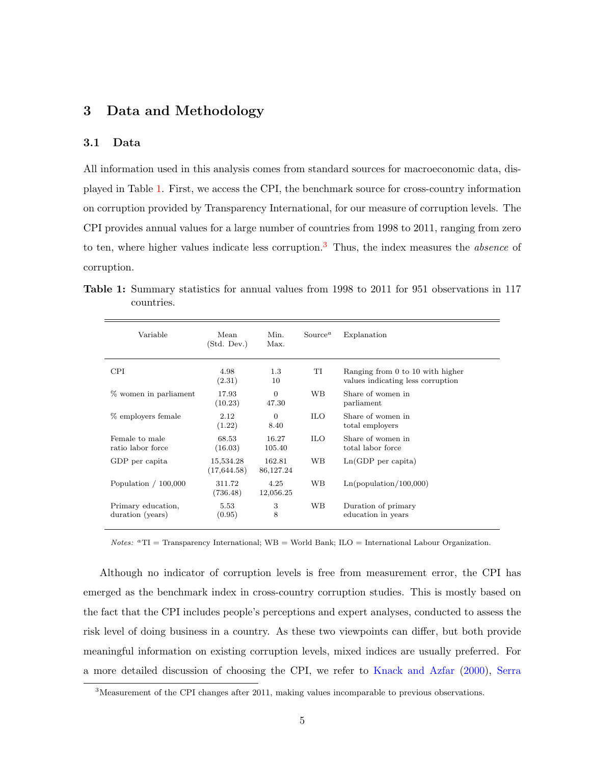## <span id="page-7-0"></span>3 Data and Methodology

#### 3.1 Data

All information used in this analysis comes from standard sources for macroeconomic data, displayed in Table [1.](#page-7-1) First, we access the CPI, the benchmark source for cross-country information on corruption provided by Transparency International, for our measure of corruption levels. The CPI provides annual values for a large number of countries from 1998 to 2011, ranging from zero to ten, where higher values indicate less corruption.<sup>[3](#page-7-2)</sup> Thus, the index measures the *absence* of corruption.

<span id="page-7-1"></span>Table 1: Summary statistics for annual values from 1998 to 2011 for 951 observations in 117 countries.

| Variable                               | Mean<br>(Std. Dev.)       | Min.<br>Max.            | Source <sup>a</sup> | Explanation                                                           |
|----------------------------------------|---------------------------|-------------------------|---------------------|-----------------------------------------------------------------------|
| <b>CPI</b>                             | 4.98<br>(2.31)            | 1.3<br>10               | TI                  | Ranging from 0 to 10 with higher<br>values indicating less corruption |
| % women in parliament                  | 17.93<br>(10.23)          | $\overline{0}$<br>47.30 | WB.                 | Share of women in<br>parliament                                       |
| % employers female                     | 2.12<br>(1.22)            | $\overline{0}$<br>8.40  | <b>ILO</b>          | Share of women in<br>total employers                                  |
| Female to male<br>ratio labor force    | 68.53<br>(16.03)          | 16.27<br>105.40         | <b>ILO</b>          | Share of women in<br>total labor force                                |
| GDP per capita                         | 15,534.28<br>(17, 644.58) | 162.81<br>86,127.24     | WB.                 | $Ln(GDP$ per capita)                                                  |
| Population $/ 100,000$                 | 311.72<br>(736.48)        | 4.25<br>12,056.25       | WB                  | Ln(population/100,000)                                                |
| Primary education,<br>duration (years) | 5.53<br>(0.95)            | 3<br>8                  | WВ                  | Duration of primary<br>education in years                             |

 $Notes:$   ${}^aTI$  = Transparency International; WB = World Bank; ILO = International Labour Organization.

Although no indicator of corruption levels is free from measurement error, the CPI has emerged as the benchmark index in cross-country corruption studies. This is mostly based on the fact that the CPI includes people's perceptions and expert analyses, conducted to assess the risk level of doing business in a country. As these two viewpoints can differ, but both provide meaningful information on existing corruption levels, mixed indices are usually preferred. For a more detailed discussion of choosing the CPI, we refer to [Knack and Azfar](#page-24-6) [\(2000\)](#page-24-6), [Serra](#page-24-7)

<span id="page-7-2"></span><sup>3</sup>Measurement of the CPI changes after 2011, making values incomparable to previous observations.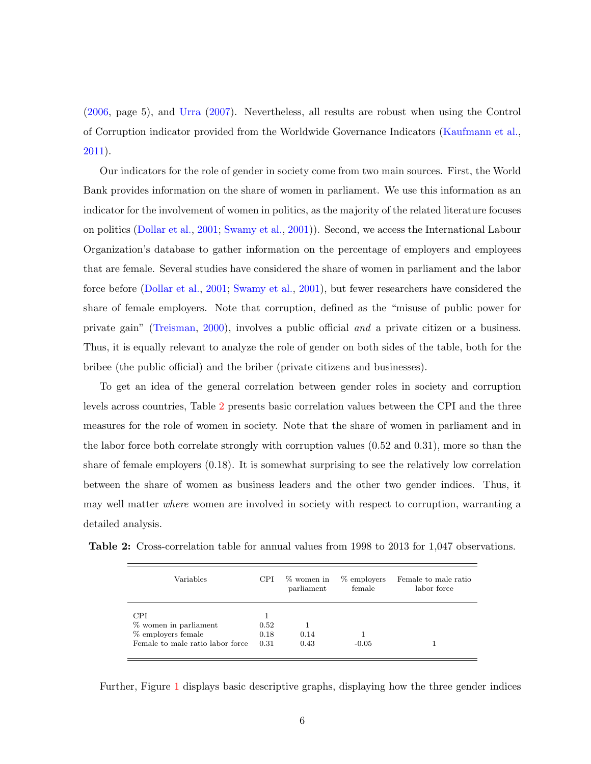[\(2006,](#page-24-7) page 5), and [Urra](#page-25-0) [\(2007\)](#page-25-0). Nevertheless, all results are robust when using the Control of Corruption indicator provided from the Worldwide Governance Indicators [\(Kaufmann et al.,](#page-24-8) [2011\)](#page-24-8).

Our indicators for the role of gender in society come from two main sources. First, the World Bank provides information on the share of women in parliament. We use this information as an indicator for the involvement of women in politics, as the majority of the related literature focuses on politics [\(Dollar et al.,](#page-23-2) [2001;](#page-23-2) [Swamy et al.,](#page-24-3) [2001\)](#page-24-3)). Second, we access the International Labour Organization's database to gather information on the percentage of employers and employees that are female. Several studies have considered the share of women in parliament and the labor force before [\(Dollar et al.,](#page-23-2) [2001;](#page-23-2) [Swamy et al.,](#page-24-3) [2001\)](#page-24-3), but fewer researchers have considered the share of female employers. Note that corruption, defined as the "misuse of public power for private gain" [\(Treisman,](#page-24-9) [2000\)](#page-24-9), involves a public official and a private citizen or a business. Thus, it is equally relevant to analyze the role of gender on both sides of the table, both for the bribee (the public official) and the briber (private citizens and businesses).

To get an idea of the general correlation between gender roles in society and corruption levels across countries, Table [2](#page-8-0) presents basic correlation values between the CPI and the three measures for the role of women in society. Note that the share of women in parliament and in the labor force both correlate strongly with corruption values (0.52 and 0.31), more so than the share of female employers (0.18). It is somewhat surprising to see the relatively low correlation between the share of women as business leaders and the other two gender indices. Thus, it may well matter where women are involved in society with respect to corruption, warranting a detailed analysis.

<span id="page-8-0"></span>Table 2: Cross-correlation table for annual values from 1998 to 2013 for 1,047 observations.

| Variables                                                                                     | CPI                  | % women in<br>parliament | % employers<br>female | Female to male ratio<br>labor force |
|-----------------------------------------------------------------------------------------------|----------------------|--------------------------|-----------------------|-------------------------------------|
| <b>CPI</b><br>% women in parliament<br>% employers female<br>Female to male ratio labor force | 0.52<br>0.18<br>0.31 | 0.14<br>0.43             | $-0.05$               |                                     |

Further, Figure [1](#page-9-0) displays basic descriptive graphs, displaying how the three gender indices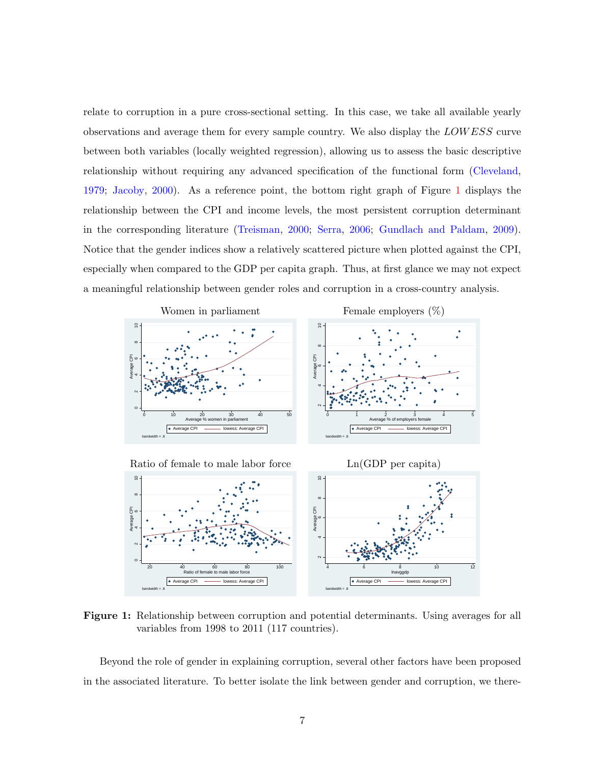relate to corruption in a pure cross-sectional setting. In this case, we take all available yearly observations and average them for every sample country. We also display the LOW ESS curve between both variables (locally weighted regression), allowing us to assess the basic descriptive relationship without requiring any advanced specification of the functional form [\(Cleveland,](#page-22-6) [1979;](#page-22-6) [Jacoby,](#page-23-8) [2000\)](#page-23-8). As a reference point, the bottom right graph of Figure [1](#page-9-0) displays the relationship between the CPI and income levels, the most persistent corruption determinant in the corresponding literature [\(Treisman,](#page-24-9) [2000;](#page-24-9) [Serra,](#page-24-7) [2006;](#page-24-7) [Gundlach and Paldam,](#page-23-9) [2009\)](#page-23-9). Notice that the gender indices show a relatively scattered picture when plotted against the CPI, especially when compared to the GDP per capita graph. Thus, at first glance we may not expect a meaningful relationship between gender roles and corruption in a cross-country analysis.

<span id="page-9-0"></span>



Figure 1: Relationship between corruption and potential determinants. Using averages for all variables from 1998 to 2011 (117 countries).

Beyond the role of gender in explaining corruption, several other factors have been proposed in the associated literature. To better isolate the link between gender and corruption, we there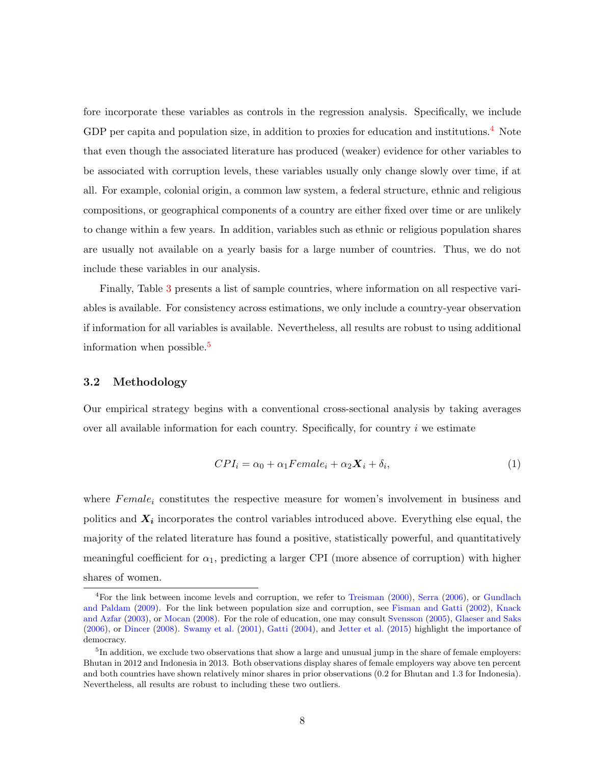fore incorporate these variables as controls in the regression analysis. Specifically, we include GDP per capita and population size, in addition to proxies for education and institutions.<sup>[4](#page-10-0)</sup> Note that even though the associated literature has produced (weaker) evidence for other variables to be associated with corruption levels, these variables usually only change slowly over time, if at all. For example, colonial origin, a common law system, a federal structure, ethnic and religious compositions, or geographical components of a country are either fixed over time or are unlikely to change within a few years. In addition, variables such as ethnic or religious population shares are usually not available on a yearly basis for a large number of countries. Thus, we do not include these variables in our analysis.

Finally, Table [3](#page-11-0) presents a list of sample countries, where information on all respective variables is available. For consistency across estimations, we only include a country-year observation if information for all variables is available. Nevertheless, all results are robust to using additional information when possible.<sup>[5](#page-10-1)</sup>

#### 3.2 Methodology

Our empirical strategy begins with a conventional cross-sectional analysis by taking averages over all available information for each country. Specifically, for country  $i$  we estimate

<span id="page-10-2"></span>
$$
CPI_i = \alpha_0 + \alpha_1 Female_i + \alpha_2 \mathbf{X}_i + \delta_i, \tag{1}
$$

where  $Female_i$  constitutes the respective measure for women's involvement in business and politics and  $X_i$  incorporates the control variables introduced above. Everything else equal, the majority of the related literature has found a positive, statistically powerful, and quantitatively meaningful coefficient for  $\alpha_1$ , predicting a larger CPI (more absence of corruption) with higher shares of women.

<span id="page-10-0"></span><sup>&</sup>lt;sup>4</sup>For the link between income levels and corruption, we refer to [Treisman](#page-24-9) [\(2000\)](#page-24-9), [Serra](#page-24-7) [\(2006\)](#page-24-7), or [Gundlach](#page-23-9) [and Paldam](#page-23-9) [\(2009\)](#page-23-9). For the link between population size and corruption, see [Fisman and Gatti](#page-23-10) [\(2002\)](#page-23-10), [Knack](#page-24-10) [and Azfar](#page-24-10) [\(2003\)](#page-24-10), or [Mocan](#page-24-11) [\(2008\)](#page-24-11). For the role of education, one may consult [Svensson](#page-24-12) [\(2005\)](#page-24-12), [Glaeser and Saks](#page-23-6) [\(2006\)](#page-23-6), or [Dincer](#page-22-7) [\(2008\)](#page-22-7). [Swamy et al.](#page-24-3) [\(2001\)](#page-24-3), [Gatti](#page-23-5) [\(2004\)](#page-23-5), and [Jetter et al.](#page-23-11) [\(2015\)](#page-23-11) highlight the importance of democracy.

<span id="page-10-1"></span><sup>&</sup>lt;sup>5</sup>In addition, we exclude two observations that show a large and unusual jump in the share of female employers: Bhutan in 2012 and Indonesia in 2013. Both observations display shares of female employers way above ten percent and both countries have shown relatively minor shares in prior observations (0.2 for Bhutan and 1.3 for Indonesia). Nevertheless, all results are robust to including these two outliers.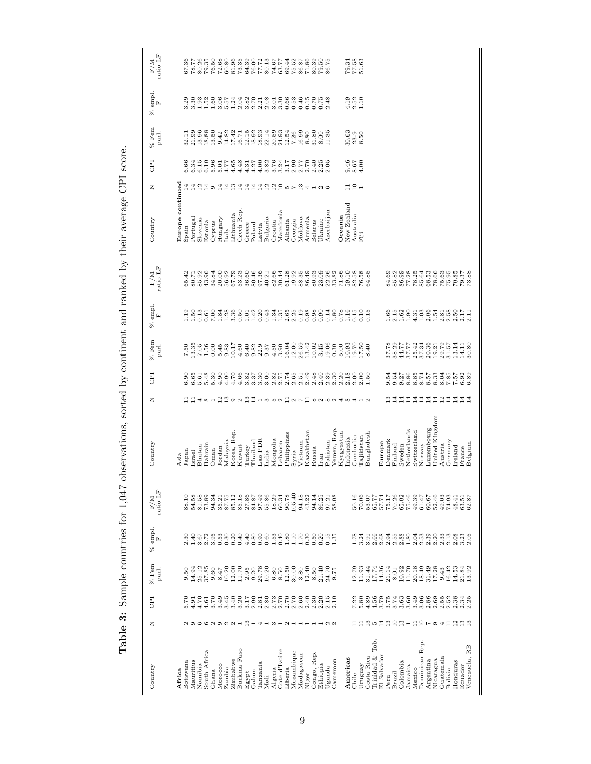<span id="page-11-0"></span>

| $\begin{array}{c} \n \cdot \quad \\ \n \cdot \quad \\ \n \cdot \quad \\ \n \cdot \quad \\ \n \cdot \quad \\ \n \cdot \quad \\ \n \cdot \quad \\ \n \cdot \quad \\ \n \cdot \quad \\ \n \cdot \quad \\ \n \cdot \quad \\ \n \cdot \quad \\ \n \cdot \quad \\ \n \cdot \quad \\ \n \cdot \quad \\ \n \cdot \quad \\ \n \cdot \quad \\ \n \cdot \quad \\ \n \cdot \quad \\ \n \cdot \quad \\ \n \cdot \quad \\ \n \cdot \quad \\ \n \cdot \quad \\ \n \cdot \quad \\ \n \cdot \quad \\ \n \cdot \quad \\ \n \cdot \quad \\ \n \cdot \quad \\ \n \cdot \quad \\ \n \cdot \quad \\ \n \$ |
|-------------------------------------------------------------------------------------------------------------------------------------------------------------------------------------------------------------------------------------------------------------------------------------------------------------------------------------------------------------------------------------------------------------------------------------------------------------------------------------------------------------------------------------------------------------------------------------|
| i<br>I<br>١<br>المستخدم المستخدم المستخدم المستخدم المستخدم المستخدم المستخدم المستخدم المستخدم المستخدم المستخدم المستخدم ال<br>$-5.0$ and $-7.0$                                                                                                                                                                                                                                                                                                                                                                                                                                  |
| ֧֧֧֧֧֧֧֧ׅ֧֧ׅ֧֧ׅ֧֛֧֧֧֧֧֧֧֧֧֧֛֚֚֚֚֚֚֚֚֚֚֚֚֚֚֚֚֚֚֚֚֚֚֚֚֝֓֝֓֝֬֝֓֝֬֝֓֝֬֝֬֜֓֬֝֬֜֓֝֬֜֓֝֬֝֬֝֬֝֬                                                                                                                                                                                                                                                                                                                                                                                                                                                                                             |
| -<br>;<br>;                                                                                                                                                                                                                                                                                                                                                                                                                                                                                                                                                                         |
|                                                                                                                                                                                                                                                                                                                                                                                                                                                                                                                                                                                     |
| 医心室 医心室 医心室                                                                                                                                                                                                                                                                                                                                                                                                                                                                                                                                                                         |
| j                                                                                                                                                                                                                                                                                                                                                                                                                                                                                                                                                                                   |
| j<br>֖֖֖֖֖֖֖֧ׅ֪ׅׅ֖ׅ֪ׅ֪֪֪ׅ֖֧֪ׅ֪֪֪ׅ֖֚֚֚֚֚֚֚֚֚֚֚֚֚֚֚֚֚֚֚֚֚֚֚֚֚֚֚֬֝֝֬֓֓֞֝<br>Ì                                                                                                                                                                                                                                                                                                                                                                                                                                                                                                          |
|                                                                                                                                                                                                                                                                                                                                                                                                                                                                                                                                                                                     |
| i                                                                                                                                                                                                                                                                                                                                                                                                                                                                                                                                                                                   |
| י<br>ו<br>じゅうしゅく                                                                                                                                                                                                                                                                                                                                                                                                                                                                                                                                                                    |
| l<br>İ                                                                                                                                                                                                                                                                                                                                                                                                                                                                                                                                                                              |
| i                                                                                                                                                                                                                                                                                                                                                                                                                                                                                                                                                                                   |
| ֧֦֧֦֧֦֧֦֧֦֧֦֧֦֧֦֧֦֧֦֧֦֧֦֧֦֧֦֧֦֧֧֦֧֧֦֧֚֚֚֚֚֚֚֚֚֚֚֚֚֚֚֚֚֚֓֡֝֓֝֓֜֓֝֬֜֝֬                                                                                                                                                                                                                                                                                                                                                                                                                                                                                                                |
| ׇ֚֘֝֬<br><b>12.000</b><br>.<br>.<br>.<br>į                                                                                                                                                                                                                                                                                                                                                                                                                                                                                                                                          |
| ֚֘֝֬<br>j<br>l<br>ׅ֘֒<br>֚<br>֠<br>֕                                                                                                                                                                                                                                                                                                                                                                                                                                                                                                                                                |
|                                                                                                                                                                                                                                                                                                                                                                                                                                                                                                                                                                                     |
| l<br>ļ<br>$\frac{1}{2}$                                                                                                                                                                                                                                                                                                                                                                                                                                                                                                                                                             |
|                                                                                                                                                                                                                                                                                                                                                                                                                                                                                                                                                                                     |

| a o co a o a a -<br>Burkina Faso<br>South Africa<br>Zimbabwe<br>Mauritius<br>Botswana<br>Namibia<br>Morocco<br>Zambia<br>Ghana<br>Africa |                               |                    | Ĺ.                                               | ratio LF | Country             |                       | <b>CPI</b>                 | R<br>$%$ Fem<br>parl.                                                             | empl.<br>Ĺ                                       | ratio LF<br>$\rm F/M$                                  | Country          | EI<br>z         |                           | % empl.<br>Ĺ.<br>% Fem<br>parl.                              | ratio LF                                            |  |
|------------------------------------------------------------------------------------------------------------------------------------------|-------------------------------|--------------------|--------------------------------------------------|----------|---------------------|-----------------------|----------------------------|-----------------------------------------------------------------------------------|--------------------------------------------------|--------------------------------------------------------|------------------|-----------------|---------------------------|--------------------------------------------------------------|-----------------------------------------------------|--|
|                                                                                                                                          |                               |                    |                                                  |          | Asia                |                       |                            |                                                                                   |                                                  |                                                        | Europe continued |                 |                           |                                                              |                                                     |  |
|                                                                                                                                          | $\frac{5.70}{4.91}$           | 0.50               | 2.30                                             | 88.10    | lapan               |                       | 8.85<br>9.95               | $7.38$<br>$0.38$<br>$0.58$<br>$0.58$<br>$0.58$<br>$0.58$<br>$0.58$                |                                                  | 65.42<br>80.71                                         | Spain            |                 | 6.66                      | 32.11<br>21.99                                               | $\frac{67.36}{78.77}$                               |  |
|                                                                                                                                          |                               | 14.94              | 1.40                                             | 54.58    | Israel              |                       |                            | $\begin{array}{c} 1.50 \\ 1.53 \\ 0.13 \end{array}$                               |                                                  |                                                        | Portugal         | 11 11<br>11 11  | 6.34                      | 33<br>335<br>331                                             |                                                     |  |
|                                                                                                                                          | 4.70                          | 25.12              | $3.67$<br>$2.72$                                 | 81.58    | Bhutan              |                       |                            |                                                                                   |                                                  | 85.92                                                  | Slovenia         |                 | 6.15                      | 13.96                                                        |                                                     |  |
|                                                                                                                                          | 4.61                          | 37.85              |                                                  | 73.89    | Bahrain             |                       | 5.48                       | 0.61                                                                              |                                                  | 43.96                                                  | Estonia          | $\Xi$ o         | 6.10                      | 1.52<br>18.88                                                | 79.35                                               |  |
|                                                                                                                                          | 3.70                          | 9.60               | 3.95                                             | 94.34    | Oman                |                       | 5.30                       |                                                                                   | 7.00                                             | 34.84                                                  | Cyprus           |                 | 5.96                      | 1.60<br>13.50                                                | 76.50                                               |  |
|                                                                                                                                          | 3.49                          | 8.47               | $\begin{array}{c} 53 \\ 0.30 \\ 0.0 \end{array}$ | 35.21    | Jordan              |                       | 4.90                       |                                                                                   | 1.84                                             |                                                        | Hungary          | $\vec{A}$       | 5.01                      | 3.06<br>9.42                                                 | 72.68                                               |  |
|                                                                                                                                          | 3.45                          | 10.20              |                                                  | 87.75    | Malaysia            |                       |                            |                                                                                   |                                                  |                                                        | Italy            | $\overline{4}$  |                           | 14.82                                                        |                                                     |  |
|                                                                                                                                          | 3.40                          | 12.00              |                                                  | 85.12    | Korea, Rep.         |                       | $4.70$<br>$4.70$           |                                                                                   |                                                  |                                                        | Lithuania        |                 | $4.77$<br>$4.65$          |                                                              |                                                     |  |
|                                                                                                                                          | 3.20                          |                    | 0.40                                             | 85.18    | Kuwait              | 481pB92B以135212718282 |                            | $1,860$<br>$1,860$<br>$1,42$<br>$1,360$<br>$1,42$<br>$1.76982750$<br>$1.69823750$ |                                                  |                                                        | Czech Rep.       | $\frac{31}{4}$  |                           | 5.57<br>1.24<br>2.04<br>$17.42$<br>$16.71$                   | $60.80$<br>$81.35$<br>$73.39$<br>$64.39$            |  |
| $\frac{3}{2}$                                                                                                                            | 3.17                          | $11.70$<br>$2.95$  | 4.40                                             | 27.86    | Turkey              |                       | $4.66$<br>3.82             |                                                                                   |                                                  |                                                        | Greece           | 그               |                           | 12.15                                                        |                                                     |  |
| $\overline{\phantom{a}}$                                                                                                                 |                               | 9.20               |                                                  | 84.87    | Thailand            |                       | 3.37                       |                                                                                   |                                                  | 80.46<br>97.36                                         | Poland           | $\overline{4}$  | $4370$<br>$4370$<br>$444$ | $3.82$<br>$2.71$<br>$2.1$<br>18.92                           | $76.00$<br>$77.72$                                  |  |
| ₩                                                                                                                                        | $2.81$<br>$2.81$              | 29.78              | 0.80                                             | 97.49    | AC <sub>d</sub> or. |                       | 3.30                       | 0.20                                                                              |                                                  |                                                        | Latvia           | $\overline{4}$  |                           | 18.93                                                        |                                                     |  |
|                                                                                                                                          | 2.80                          | 10.20              | $_{0.60}$                                        | 55.86    | India               |                       | $3.00$<br>$2.82$           | 0.43                                                                              |                                                  | 40.21                                                  | Bulgaria         |                 | $3.82$<br>$3.76$          | 2.08<br>22.14                                                | 74.67                                               |  |
|                                                                                                                                          | 2.73                          | $_{\rm 6.80}$      | 1.53                                             | 18.29    | Mongolia            |                       |                            |                                                                                   | 1.34                                             | 82.66                                                  | Croatia          |                 |                           | 3.01<br>20.59                                                |                                                     |  |
| Cote d'Ivoire                                                                                                                            |                               | 8.50               | 0.40                                             | 60.34    | cebanon             |                       | 2.75                       | 3.90                                                                              |                                                  | 30.44                                                  | Macedonia        |                 | 3.24                      | 3.30<br>24.93                                                | 63.77                                               |  |
| $- 0 - 0 - - -$                                                                                                                          |                               | 12.50              | 1.80                                             | 90.78    | Philippines         |                       | 2.74                       | $\begin{array}{c} 1.35 \\ 2.65 \end{array}$                                       |                                                  | $\begin{array}{c} 61.28 \\ 19.35 \\ 88.35 \end{array}$ | Albania          | 22256F          | 3.17                      | 0.66<br>12.54                                                |                                                     |  |
| Mozambique                                                                                                                               |                               | 30.00              | 1.70                                             | 105.40   | Syria               |                       | $2.65$<br>$2.51$           |                                                                                   |                                                  |                                                        | Georgia          |                 | $0.770$<br>$2.70$         | 0.53<br>7.26                                                 |                                                     |  |
| Madagascar                                                                                                                               |                               | 3.80               |                                                  | 94.18    | Vietnam             |                       |                            |                                                                                   |                                                  |                                                        | Moldova          |                 |                           | 0.46<br>16.99                                                |                                                     |  |
| $\overline{\phantom{0}}$                                                                                                                 | 2.40                          | 12.40              | 0.30                                             | 43.22    | Kazakhstan          |                       | $2.49$<br>$2.48$           | $2.39880$<br>$2.59880$<br>$15.8940$<br>$12.8940$<br>$15.8910$                     |                                                  | 86.49<br>80.93                                         | Armenia          | 4               |                           | $0.15$<br>$0.70$<br>$8.80$<br>31.80                          | $69.58$<br>$75.58$<br>$76.38$<br>$76.39$<br>$76.39$ |  |
| $\overline{\phantom{0}}$<br>Congo, Rep.                                                                                                  | 2.30                          | $8.50$<br>21.40    | $_{0.50}$                                        | 94.14    | Russia              |                       |                            |                                                                                   |                                                  |                                                        | Belarus          |                 | 2.40                      |                                                              |                                                     |  |
| $-20$                                                                                                                                    | 2.20                          |                    | 0.20                                             | 86.25    | Iran                |                       | 2.40                       | 3.45                                                                              |                                                  | 23.09<br>22.26<br>33.82                                | Ukraine          | $\sim$          | $2.25$<br>$2.05$          | $0.75$<br>2.48<br>$8.00$<br>11.35                            | 79.50<br>86.75                                      |  |
|                                                                                                                                          | 2.15                          | 24.70              | 0.15                                             | 97.21    | Pakistan            |                       | 2.39                       | 0.14<br>19.06                                                                     |                                                  |                                                        | Azerbaijan       |                 |                           |                                                              |                                                     |  |
|                                                                                                                                          | 2.10                          | 9.75               | 1.35                                             | 58.08    | Yemen, Rep.         |                       | 2.30                       | $\frac{80}{0.78}$<br>0.30                                                         |                                                  |                                                        |                  |                 |                           |                                                              |                                                     |  |
|                                                                                                                                          |                               |                    |                                                  |          | Kyrgyzstan          | ₹                     | 2.20                       | 5.00                                                                              |                                                  | $71.86$<br>$59.10$                                     | Oceania          |                 |                           |                                                              |                                                     |  |
|                                                                                                                                          |                               |                    |                                                  |          | ndonesia            | $^{\circ}$            | 2.18                       | 10.93                                                                             |                                                  |                                                        | New Zealand      | $\Xi$ $\Xi$ $-$ | 9.46<br>0.67<br>4.00      | $\begin{array}{c} 4.19 \\ 2.52 \\ 1.10 \end{array}$<br>30.63 | $79.34$<br>$77.58$<br>$51.63$                       |  |
|                                                                                                                                          |                               | 12.79<br>11.93     | 1.78                                             | 50.16    | Cambodia            | ₩                     | 2.00                       |                                                                                   |                                                  |                                                        | Australia        |                 |                           | $23.9$<br>$8.50$                                             |                                                     |  |
|                                                                                                                                          |                               |                    | $3.24$<br>$3.91$                                 | 70.06    | Tajikistan          |                       | 2.50                       | 19.50<br>17.50<br>8.40                                                            | $\begin{array}{c} 15 \\ 110 \\ 0.15 \end{array}$ | $82.58$<br>$76.58$<br>64.85                            | Fiji             |                 |                           |                                                              |                                                     |  |
| $\frac{3}{1}$<br>Costa Rica                                                                                                              | $7.00000004$<br>$7.000000004$ | 31.44              |                                                  | 53.07    | Bangladesh          |                       |                            |                                                                                   |                                                  |                                                        |                  |                 |                           |                                                              |                                                     |  |
| <b>LO</b><br>Trinidad & Tob.                                                                                                             |                               | 17.74              | 2.66                                             | 65.77    |                     |                       |                            |                                                                                   |                                                  |                                                        |                  |                 |                           |                                                              |                                                     |  |
| 4<br>El Salvador                                                                                                                         |                               | 14.36              | 2.68                                             | 57.74    | Europe              |                       |                            |                                                                                   |                                                  |                                                        |                  |                 |                           |                                                              |                                                     |  |
| $\frac{3}{1}$                                                                                                                            |                               | 21.14              |                                                  | 75.17    | Denmark             | ఇ                     | 9.54                       |                                                                                   | 1.66                                             | 84.69                                                  |                  |                 |                           |                                                              |                                                     |  |
| 23                                                                                                                                       |                               | $\phantom{00}8.01$ |                                                  | 70.26    | Finland             | $\Xi$                 | $9.54$<br>$9.27$           |                                                                                   | $2.15$<br>$1.62$                                 |                                                        |                  |                 |                           |                                                              |                                                     |  |
|                                                                                                                                          | 3.63                          | 10.92              |                                                  | 65.02    | Sweden              | $\overline{14}$       |                            |                                                                                   |                                                  |                                                        |                  |                 |                           |                                                              |                                                     |  |
| $-12504$                                                                                                                                 | 3.60                          | 11.70              |                                                  | 75.46    | Netherlands         | $_{14}$               | 885453<br>88453            | 37.78<br>58.717.73<br>58.535.58<br>50.58                                          |                                                  | 85.328<br>86.328<br>86.7288<br>88.53                   |                  |                 |                           |                                                              |                                                     |  |
|                                                                                                                                          | 3.49                          | 20.18              |                                                  | 49.39    | Switzerland         | $\overline{14}$       |                            |                                                                                   |                                                  |                                                        |                  |                 |                           |                                                              |                                                     |  |
| Dominican Rep.                                                                                                                           | $3.06$<br>$2.86$              | 18.49              |                                                  | 61.47    | Norway              | $\frac{4}{4}$         |                            |                                                                                   |                                                  |                                                        |                  |                 |                           |                                                              |                                                     |  |
|                                                                                                                                          |                               | 31.49              |                                                  | 60.67    | Luxembourg          |                       |                            |                                                                                   |                                                  |                                                        |                  |                 |                           |                                                              |                                                     |  |
| Guatemala                                                                                                                                | 2.69                          | 17.28              |                                                  | 52.46    | United Kingdom      | $\vec{a}$             |                            | 19.21                                                                             |                                                  | 78.66                                                  |                  |                 |                           |                                                              |                                                     |  |
|                                                                                                                                          | $2.55$<br>$2.52$              | 9.43               |                                                  | 49.03    | Austria             | $\mathbf{r}$          | 8.04                       | 29.79                                                                             |                                                  | 75.63                                                  |                  |                 |                           |                                                              |                                                     |  |
| 1222                                                                                                                                     |                               | 16.42              |                                                  | 74.93    | Germany             | ユユユユ                  | 7.85                       | $30071$<br>$20071$<br>$20007$<br>31.57                                            |                                                  | 75.95                                                  |                  |                 |                           |                                                              |                                                     |  |
|                                                                                                                                          | 3,30,00<br>$\mathbf{a}$       | 14.53              |                                                  | 48.41    | reland              |                       | $7.52$<br>$6.92$<br>$6.89$ | 13.14                                                                             |                                                  | $70.85$<br>$79.37$<br>$78.8$                           |                  |                 |                           |                                                              |                                                     |  |
|                                                                                                                                          |                               | 21.84              |                                                  | 63.51    | France              |                       |                            | 14.11                                                                             |                                                  |                                                        |                  |                 |                           |                                                              |                                                     |  |
| Venezuela, RB                                                                                                                            |                               | 13.92              |                                                  |          | Belgium             |                       |                            | 30.80                                                                             |                                                  |                                                        |                  |                 |                           |                                                              |                                                     |  |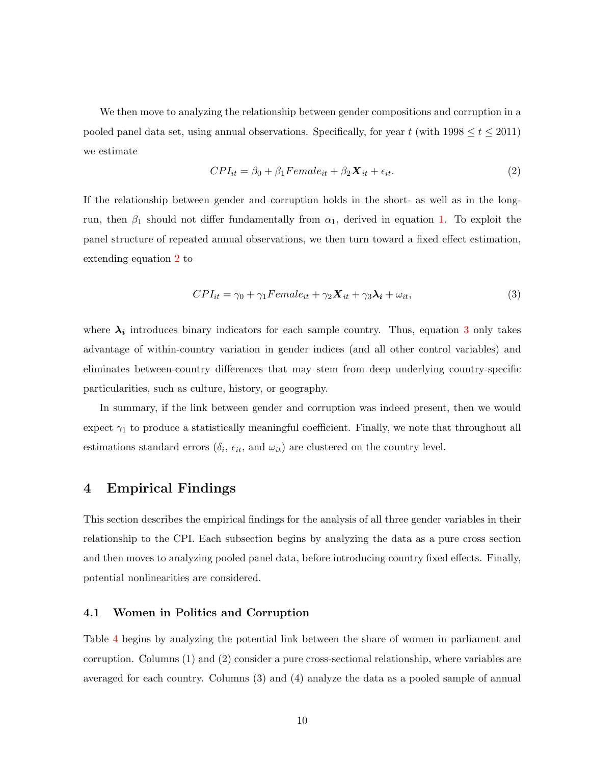We then move to analyzing the relationship between gender compositions and corruption in a pooled panel data set, using annual observations. Specifically, for year t (with  $1998 \le t \le 2011$ ) we estimate

<span id="page-12-1"></span>
$$
CPI_{it} = \beta_0 + \beta_1 Female_{it} + \beta_2 \mathbf{X}_{it} + \epsilon_{it}. \tag{2}
$$

If the relationship between gender and corruption holds in the short- as well as in the longrun, then  $\beta_1$  should not differ fundamentally from  $\alpha_1$ , derived in equation [1.](#page-10-2) To exploit the panel structure of repeated annual observations, we then turn toward a fixed effect estimation, extending equation [2](#page-12-1) to

<span id="page-12-2"></span>
$$
CPI_{it} = \gamma_0 + \gamma_1 Female_{it} + \gamma_2 \mathbf{X}_{it} + \gamma_3 \lambda_i + \omega_{it},\tag{3}
$$

where  $\lambda_i$  introduces binary indicators for each sample country. Thus, equation [3](#page-12-2) only takes advantage of within-country variation in gender indices (and all other control variables) and eliminates between-country differences that may stem from deep underlying country-specific particularities, such as culture, history, or geography.

In summary, if the link between gender and corruption was indeed present, then we would expect  $\gamma_1$  to produce a statistically meaningful coefficient. Finally, we note that throughout all estimations standard errors  $(\delta_i, \epsilon_{it}, \text{ and } \omega_{it})$  are clustered on the country level.

#### <span id="page-12-0"></span>4 Empirical Findings

This section describes the empirical findings for the analysis of all three gender variables in their relationship to the CPI. Each subsection begins by analyzing the data as a pure cross section and then moves to analyzing pooled panel data, before introducing country fixed effects. Finally, potential nonlinearities are considered.

#### 4.1 Women in Politics and Corruption

Table [4](#page-13-0) begins by analyzing the potential link between the share of women in parliament and corruption. Columns (1) and (2) consider a pure cross-sectional relationship, where variables are averaged for each country. Columns (3) and (4) analyze the data as a pooled sample of annual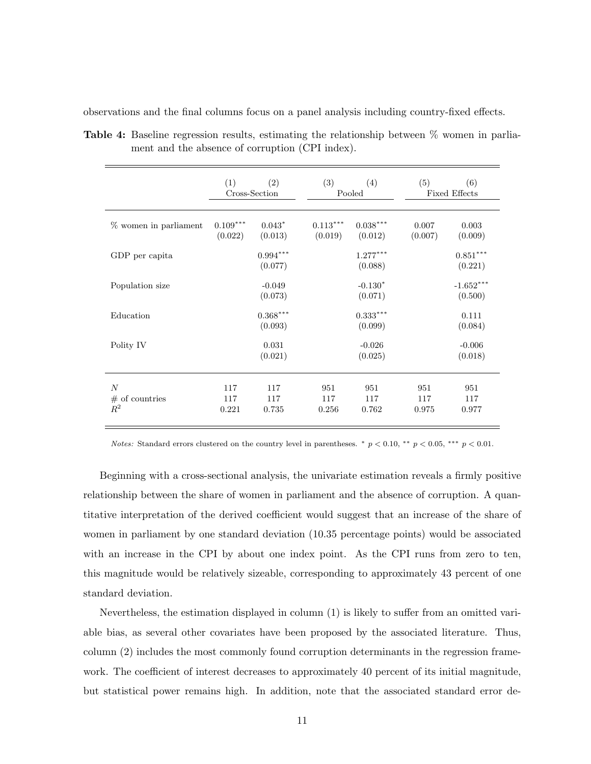|                                              | (1)<br>(2)<br>Cross-Section |                       | (3)                   | (4)<br>Pooled         | (5)                 | (6)<br><b>Fixed Effects</b>       |  |  |
|----------------------------------------------|-----------------------------|-----------------------|-----------------------|-----------------------|---------------------|-----------------------------------|--|--|
| % women in parliament                        | $0.109***$<br>(0.022)       | $0.043*$<br>(0.013)   | $0.113***$<br>(0.019) | $0.038***$<br>(0.012) | 0.007<br>(0.007)    | 0.003<br>(0.009)                  |  |  |
| GDP per capita                               |                             | $0.994***$<br>(0.077) |                       | $1.277***$<br>(0.088) |                     | $0.851^{\ast\ast\ast}$<br>(0.221) |  |  |
| Population size                              |                             | $-0.049$<br>(0.073)   |                       | $-0.130*$<br>(0.071)  |                     | $-1.652***$<br>(0.500)            |  |  |
| Education                                    |                             | $0.368***$<br>(0.093) |                       | $0.333***$<br>(0.099) |                     | 0.111<br>(0.084)                  |  |  |
| Polity IV                                    |                             | 0.031<br>(0.021)      |                       | $-0.026$<br>(0.025)   |                     | $-0.006$<br>(0.018)               |  |  |
| $\overline{N}$<br>#<br>of countries<br>$R^2$ | 117<br>117<br>0.221         | 117<br>117<br>0.735   | 951<br>117<br>0.256   | 951<br>117<br>0.762   | 951<br>117<br>0.975 | 951<br>117<br>0.977               |  |  |

<span id="page-13-0"></span>Table 4: Baseline regression results, estimating the relationship between % women in parliament and the absence of corruption (CPI index).

observations and the final columns focus on a panel analysis including country-fixed effects.

Notes: Standard errors clustered on the country level in parentheses.  $*$  p < 0.00, \*\*\* p < 0.05, \*\*\* p < 0.01.

Beginning with a cross-sectional analysis, the univariate estimation reveals a firmly positive relationship between the share of women in parliament and the absence of corruption. A quantitative interpretation of the derived coefficient would suggest that an increase of the share of women in parliament by one standard deviation (10.35 percentage points) would be associated with an increase in the CPI by about one index point. As the CPI runs from zero to ten, this magnitude would be relatively sizeable, corresponding to approximately 43 percent of one standard deviation.

Nevertheless, the estimation displayed in column (1) is likely to suffer from an omitted variable bias, as several other covariates have been proposed by the associated literature. Thus, column (2) includes the most commonly found corruption determinants in the regression framework. The coefficient of interest decreases to approximately 40 percent of its initial magnitude, but statistical power remains high. In addition, note that the associated standard error de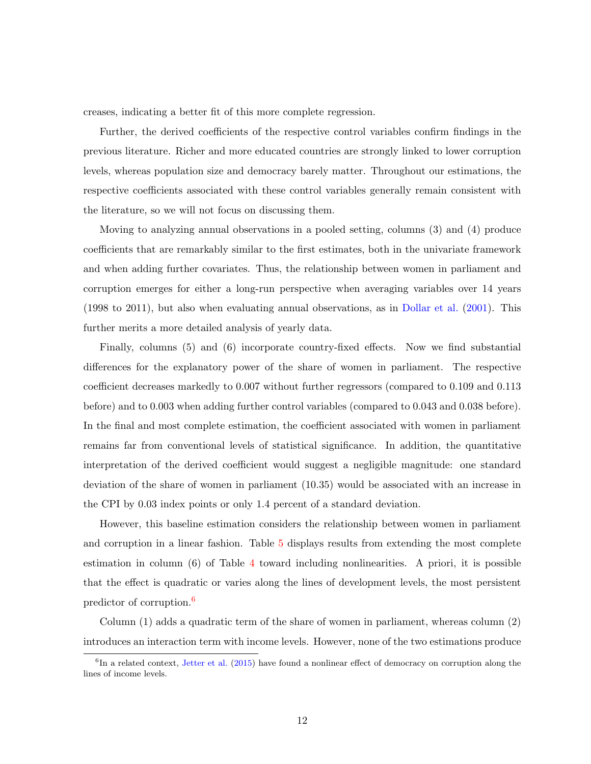creases, indicating a better fit of this more complete regression.

Further, the derived coefficients of the respective control variables confirm findings in the previous literature. Richer and more educated countries are strongly linked to lower corruption levels, whereas population size and democracy barely matter. Throughout our estimations, the respective coefficients associated with these control variables generally remain consistent with the literature, so we will not focus on discussing them.

Moving to analyzing annual observations in a pooled setting, columns (3) and (4) produce coefficients that are remarkably similar to the first estimates, both in the univariate framework and when adding further covariates. Thus, the relationship between women in parliament and corruption emerges for either a long-run perspective when averaging variables over 14 years (1998 to 2011), but also when evaluating annual observations, as in [Dollar et al.](#page-23-2) [\(2001\)](#page-23-2). This further merits a more detailed analysis of yearly data.

Finally, columns (5) and (6) incorporate country-fixed effects. Now we find substantial differences for the explanatory power of the share of women in parliament. The respective coefficient decreases markedly to 0.007 without further regressors (compared to 0.109 and 0.113 before) and to 0.003 when adding further control variables (compared to 0.043 and 0.038 before). In the final and most complete estimation, the coefficient associated with women in parliament remains far from conventional levels of statistical significance. In addition, the quantitative interpretation of the derived coefficient would suggest a negligible magnitude: one standard deviation of the share of women in parliament (10.35) would be associated with an increase in the CPI by 0.03 index points or only 1.4 percent of a standard deviation.

However, this baseline estimation considers the relationship between women in parliament and corruption in a linear fashion. Table [5](#page-15-0) displays results from extending the most complete estimation in column  $(6)$  of Table [4](#page-13-0) toward including nonlinearities. A priori, it is possible that the effect is quadratic or varies along the lines of development levels, the most persistent predictor of corruption.[6](#page-14-0)

Column (1) adds a quadratic term of the share of women in parliament, whereas column (2) introduces an interaction term with income levels. However, none of the two estimations produce

<span id="page-14-0"></span> ${}^{6}$ In a related context, [Jetter et al.](#page-23-11) [\(2015\)](#page-23-11) have found a nonlinear effect of democracy on corruption along the lines of income levels.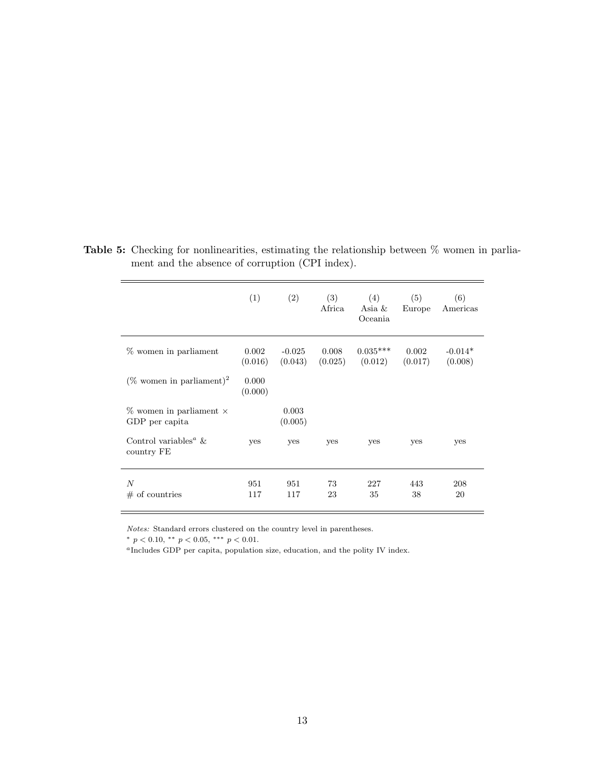|                                                       | (1)              | (2)                 | (3)<br>Africa    | (4)<br>Asia $\&$<br>Oceania | (5)<br>Europe    | (6)<br>Americas      |
|-------------------------------------------------------|------------------|---------------------|------------------|-----------------------------|------------------|----------------------|
| % women in parliament                                 | 0.002<br>(0.016) | $-0.025$<br>(0.043) | 0.008<br>(0.025) | $0.035***$<br>(0.012)       | 0.002<br>(0.017) | $-0.014*$<br>(0.008) |
| $(\%$ women in parliament) <sup>2</sup>               | 0.000<br>(0.000) |                     |                  |                             |                  |                      |
| $\%$ women in parliament $\times$<br>GDP per capita   |                  | 0.003<br>(0.005)    |                  |                             |                  |                      |
| Control variables <sup><i>a</i></sup> &<br>country FE | <b>ves</b>       | yes                 | yes              | yes                         | yes              | yes                  |
| N<br>$\#$ of countries                                | 951<br>117       | 951<br>117          | 73<br>23         | 227<br>35                   | 443<br>38        | 208<br>20            |

<span id="page-15-0"></span>Table 5: Checking for nonlinearities, estimating the relationship between  $\%$  women in parliament and the absence of corruption (CPI index).

Notes: Standard errors clustered on the country level in parentheses.

\*  $p < 0.10$ , \*\*  $p < 0.05$ , \*\*\*  $p < 0.01$ .

<sup>a</sup>Includes GDP per capita, population size, education, and the polity IV index.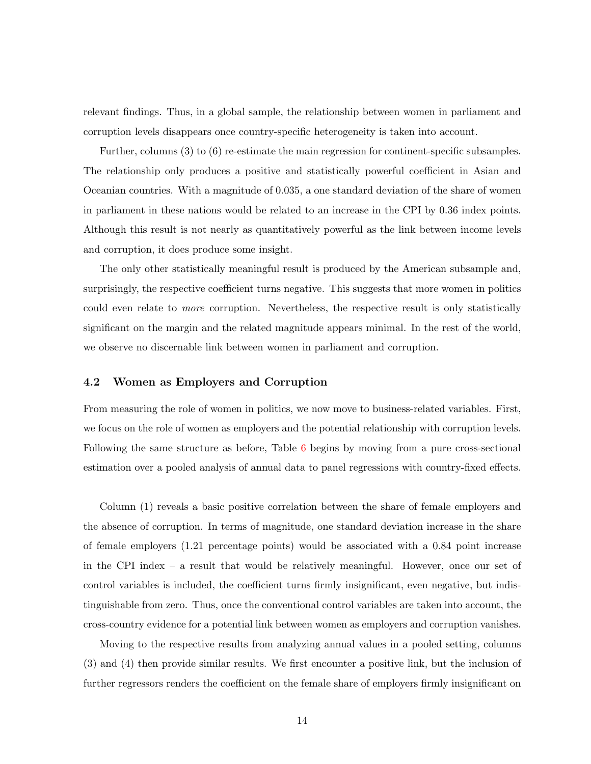relevant findings. Thus, in a global sample, the relationship between women in parliament and corruption levels disappears once country-specific heterogeneity is taken into account.

Further, columns (3) to (6) re-estimate the main regression for continent-specific subsamples. The relationship only produces a positive and statistically powerful coefficient in Asian and Oceanian countries. With a magnitude of 0.035, a one standard deviation of the share of women in parliament in these nations would be related to an increase in the CPI by 0.36 index points. Although this result is not nearly as quantitatively powerful as the link between income levels and corruption, it does produce some insight.

The only other statistically meaningful result is produced by the American subsample and, surprisingly, the respective coefficient turns negative. This suggests that more women in politics could even relate to more corruption. Nevertheless, the respective result is only statistically significant on the margin and the related magnitude appears minimal. In the rest of the world, we observe no discernable link between women in parliament and corruption.

#### 4.2 Women as Employers and Corruption

From measuring the role of women in politics, we now move to business-related variables. First, we focus on the role of women as employers and the potential relationship with corruption levels. Following the same structure as before, Table [6](#page-17-0) begins by moving from a pure cross-sectional estimation over a pooled analysis of annual data to panel regressions with country-fixed effects.

Column (1) reveals a basic positive correlation between the share of female employers and the absence of corruption. In terms of magnitude, one standard deviation increase in the share of female employers (1.21 percentage points) would be associated with a 0.84 point increase in the CPI index – a result that would be relatively meaningful. However, once our set of control variables is included, the coefficient turns firmly insignificant, even negative, but indistinguishable from zero. Thus, once the conventional control variables are taken into account, the cross-country evidence for a potential link between women as employers and corruption vanishes.

Moving to the respective results from analyzing annual values in a pooled setting, columns (3) and (4) then provide similar results. We first encounter a positive link, but the inclusion of further regressors renders the coefficient on the female share of employers firmly insignificant on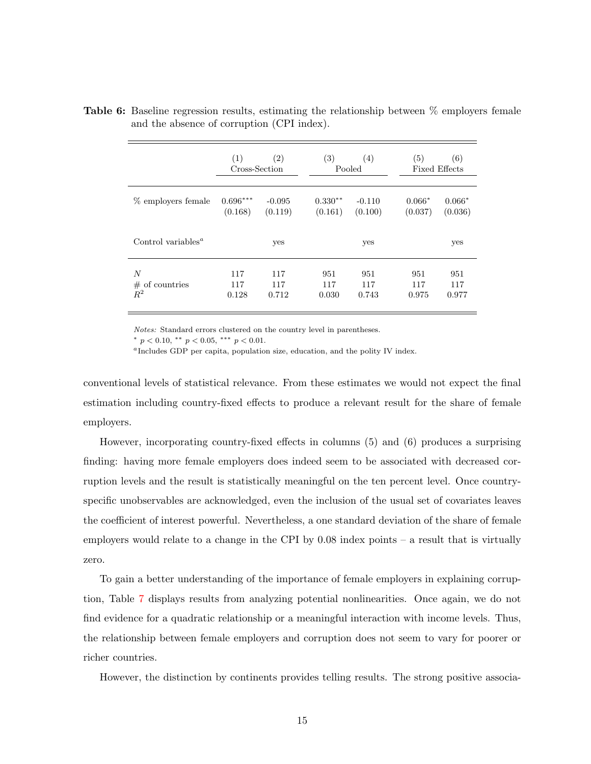|                                             | (1)        | $\left( 2\right)$<br>Cross-Section |           | (4)<br>Pooled | (5)      | (6)<br><b>Fixed Effects</b> |
|---------------------------------------------|------------|------------------------------------|-----------|---------------|----------|-----------------------------|
| % employers female                          | $0.696***$ | $-0.095$                           | $0.330**$ | $-0.110$      | $0.066*$ | $0.066*$                    |
|                                             | (0.168)    | (0.119)                            | (0.161)   | (0.100)       | (0.037)  | (0.036)                     |
| Control variables <sup><math>a</math></sup> |            | yes                                |           | yes           |          | yes                         |
| $\boldsymbol{N}$                            | 117        | 117                                | 951       | 951           | 951      | 951                         |
| $#$ of countries                            | 117        | 117                                | 117       | 117           | 117      | 117                         |
| $R^2$                                       | 0.128      | 0.712                              | 0.030     | 0.743         | 0.975    | 0.977                       |

<span id="page-17-0"></span>Table 6: Baseline regression results, estimating the relationship between % employers female and the absence of corruption (CPI index).

Notes: Standard errors clustered on the country level in parentheses.

\*  $p < 0.10$ , \*\*  $p < 0.05$ , \*\*\*  $p < 0.01$ .

<sup>a</sup>Includes GDP per capita, population size, education, and the polity IV index.

conventional levels of statistical relevance. From these estimates we would not expect the final estimation including country-fixed effects to produce a relevant result for the share of female employers.

However, incorporating country-fixed effects in columns (5) and (6) produces a surprising finding: having more female employers does indeed seem to be associated with decreased corruption levels and the result is statistically meaningful on the ten percent level. Once countryspecific unobservables are acknowledged, even the inclusion of the usual set of covariates leaves the coefficient of interest powerful. Nevertheless, a one standard deviation of the share of female employers would relate to a change in the CPI by 0.08 index points – a result that is virtually zero.

To gain a better understanding of the importance of female employers in explaining corruption, Table [7](#page-18-0) displays results from analyzing potential nonlinearities. Once again, we do not find evidence for a quadratic relationship or a meaningful interaction with income levels. Thus, the relationship between female employers and corruption does not seem to vary for poorer or richer countries.

However, the distinction by continents provides telling results. The strong positive associa-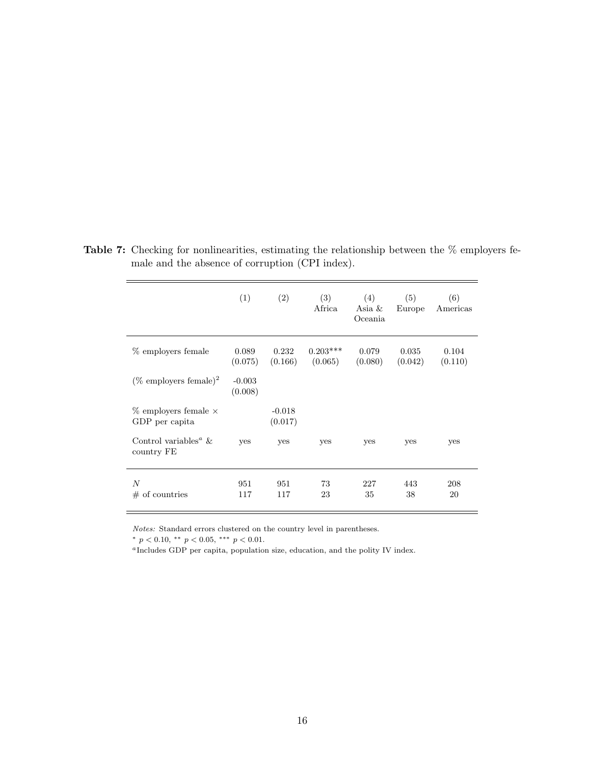|                                                       | (1)                 | (2)                 | (3)<br>Africa         | (4)<br>Asia &<br>Oceania | (5)<br>Europe    | (6)<br>Americas  |
|-------------------------------------------------------|---------------------|---------------------|-----------------------|--------------------------|------------------|------------------|
| % employers female                                    | 0.089<br>(0.075)    | 0.232<br>(0.166)    | $0.203***$<br>(0.065) | 0.079<br>(0.080)         | 0.035<br>(0.042) | 0.104<br>(0.110) |
| (% employers female) <sup>2</sup>                     | $-0.003$<br>(0.008) |                     |                       |                          |                  |                  |
| $\%$ employers female $\times$<br>GDP per capita      |                     | $-0.018$<br>(0.017) |                       |                          |                  |                  |
| Control variables <sup><i>a</i></sup> &<br>country FE | yes                 | yes                 | yes                   | yes                      | yes              | yes              |
| $\boldsymbol{N}$<br>$#$ of countries                  | 951<br>117          | 951<br>117          | 73<br>23              | 227<br>35                | 443<br>38        | 208<br>20        |

<span id="page-18-0"></span>Table 7: Checking for nonlinearities, estimating the relationship between the  $\%$  employers female and the absence of corruption (CPI index).

Notes: Standard errors clustered on the country level in parentheses.

\*  $p < 0.10$ , \*\*  $p < 0.05$ , \*\*\*  $p < 0.01$ .

<sup>a</sup>Includes GDP per capita, population size, education, and the polity IV index.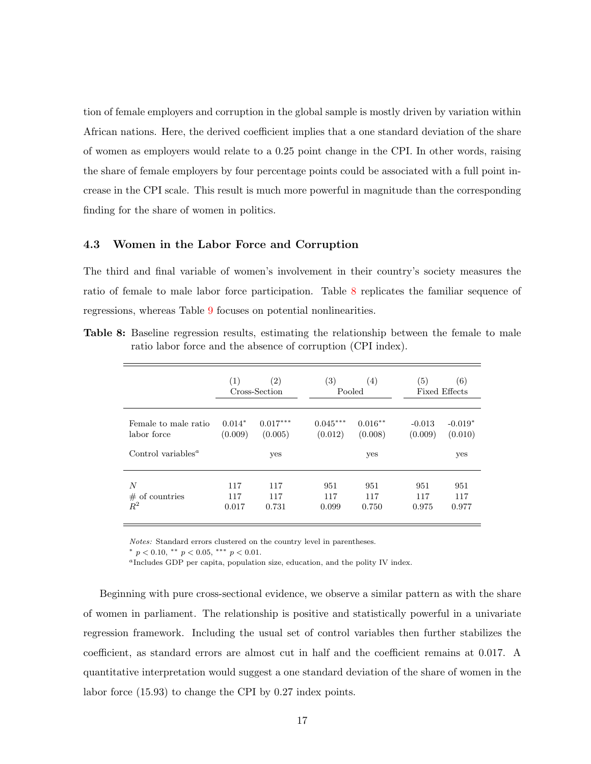tion of female employers and corruption in the global sample is mostly driven by variation within African nations. Here, the derived coefficient implies that a one standard deviation of the share of women as employers would relate to a 0.25 point change in the CPI. In other words, raising the share of female employers by four percentage points could be associated with a full point increase in the CPI scale. This result is much more powerful in magnitude than the corresponding finding for the share of women in politics.

#### 4.3 Women in the Labor Force and Corruption

The third and final variable of women's involvement in their country's society measures the ratio of female to male labor force participation. Table [8](#page-19-0) replicates the familiar sequence of regressions, whereas Table [9](#page-20-0) focuses on potential nonlinearities.

|                                                 | (1)                 | $\left( 2\right)$<br>Cross-Section | $\left( 3\right)$<br>Pooled | (4)                  | (5)                 | (6)<br><b>Fixed Effects</b> |
|-------------------------------------------------|---------------------|------------------------------------|-----------------------------|----------------------|---------------------|-----------------------------|
| Female to male ratio<br>labor force             | $0.014*$<br>(0.009) | $0.017***$<br>(0.005)              | $0.045***$<br>(0.012)       | $0.016**$<br>(0.008) | $-0.013$<br>(0.009) | $-0.019*$<br>(0.010)        |
| Control variables <sup><math>a</math></sup>     |                     | yes                                |                             | yes                  |                     | yes                         |
| $\boldsymbol{N}$<br>$#$ of countries<br>$\,R^2$ | 117<br>117          | 117<br>117                         | 951<br>117                  | 951<br>117           | 951<br>117          | 951<br>117                  |

<span id="page-19-0"></span>Table 8: Baseline regression results, estimating the relationship between the female to male ratio labor force and the absence of corruption (CPI index).

Notes: Standard errors clustered on the country level in parentheses.

\*  $p < 0.10$ , \*\*  $p < 0.05$ , \*\*\*  $p < 0.01$ .

<sup>a</sup>Includes GDP per capita, population size, education, and the polity IV index.

Beginning with pure cross-sectional evidence, we observe a similar pattern as with the share of women in parliament. The relationship is positive and statistically powerful in a univariate regression framework. Including the usual set of control variables then further stabilizes the coefficient, as standard errors are almost cut in half and the coefficient remains at 0.017. A quantitative interpretation would suggest a one standard deviation of the share of women in the labor force (15.93) to change the CPI by 0.27 index points.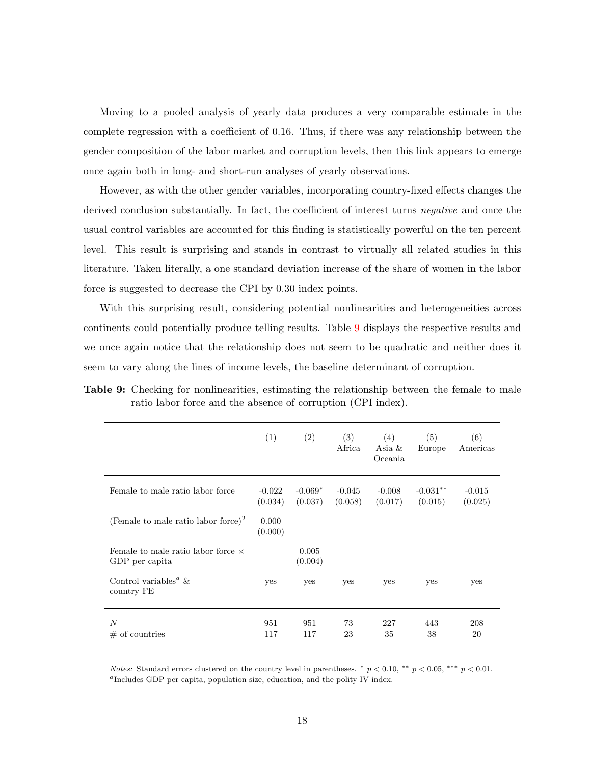Moving to a pooled analysis of yearly data produces a very comparable estimate in the complete regression with a coefficient of 0.16. Thus, if there was any relationship between the gender composition of the labor market and corruption levels, then this link appears to emerge once again both in long- and short-run analyses of yearly observations.

However, as with the other gender variables, incorporating country-fixed effects changes the derived conclusion substantially. In fact, the coefficient of interest turns *negative* and once the usual control variables are accounted for this finding is statistically powerful on the ten percent level. This result is surprising and stands in contrast to virtually all related studies in this literature. Taken literally, a one standard deviation increase of the share of women in the labor force is suggested to decrease the CPI by 0.30 index points.

With this surprising result, considering potential nonlinearities and heterogeneities across continents could potentially produce telling results. Table [9](#page-20-0) displays the respective results and we once again notice that the relationship does not seem to be quadratic and neither does it seem to vary along the lines of income levels, the baseline determinant of corruption.

<span id="page-20-0"></span>Table 9: Checking for nonlinearities, estimating the relationship between the female to male ratio labor force and the absence of corruption (CPI index).

|                                                             | (1)                 | (2)                  | (3)<br>Africa       | (4)<br>Asia $\&$<br>Oceania | (5)<br>Europe         | (6)<br>Americas     |
|-------------------------------------------------------------|---------------------|----------------------|---------------------|-----------------------------|-----------------------|---------------------|
| Female to male ratio labor force                            | $-0.022$<br>(0.034) | $-0.069*$<br>(0.037) | $-0.045$<br>(0.058) | $-0.008$<br>(0.017)         | $-0.031**$<br>(0.015) | $-0.015$<br>(0.025) |
| (Female to male ratio labor force) <sup>2</sup>             | 0.000<br>(0.000)    |                      |                     |                             |                       |                     |
| Female to male ratio labor force $\times$<br>GDP per capita |                     | 0.005<br>(0.004)     |                     |                             |                       |                     |
| Control variables <sup><i>a</i></sup> &<br>country FE       | yes                 | yes                  | yes                 | yes                         | yes                   | yes                 |
| N<br>$#$ of countries                                       | 951<br>117          | 951<br>117           | 73<br>23            | 227<br>35                   | 443<br>38             | 208<br>20           |

*Notes:* Standard errors clustered on the country level in parentheses. \*  $p < 0.10$ , \*\*  $p < 0.05$ , \*\*\*  $p < 0.01$ . <sup>a</sup>Includes GDP per capita, population size, education, and the polity IV index.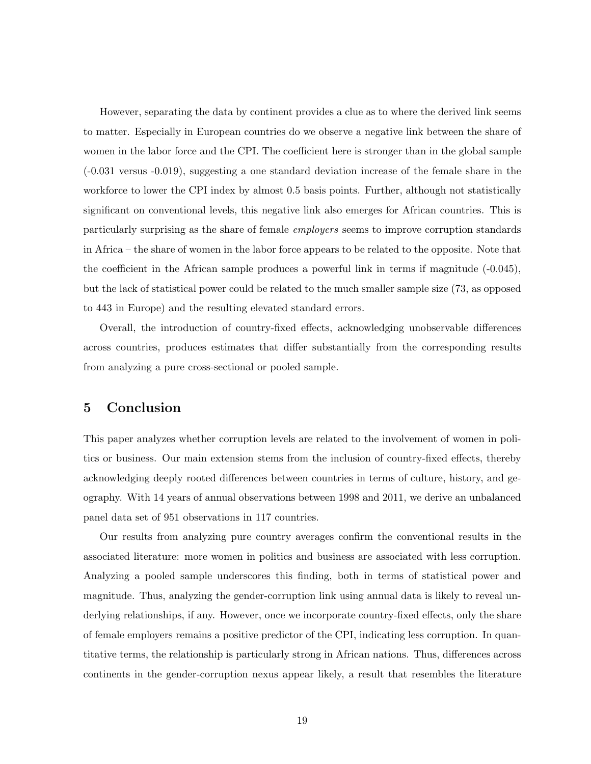However, separating the data by continent provides a clue as to where the derived link seems to matter. Especially in European countries do we observe a negative link between the share of women in the labor force and the CPI. The coefficient here is stronger than in the global sample (-0.031 versus -0.019), suggesting a one standard deviation increase of the female share in the workforce to lower the CPI index by almost 0.5 basis points. Further, although not statistically significant on conventional levels, this negative link also emerges for African countries. This is particularly surprising as the share of female employers seems to improve corruption standards in Africa – the share of women in the labor force appears to be related to the opposite. Note that the coefficient in the African sample produces a powerful link in terms if magnitude  $(-0.045)$ , but the lack of statistical power could be related to the much smaller sample size (73, as opposed to 443 in Europe) and the resulting elevated standard errors.

Overall, the introduction of country-fixed effects, acknowledging unobservable differences across countries, produces estimates that differ substantially from the corresponding results from analyzing a pure cross-sectional or pooled sample.

#### <span id="page-21-0"></span>5 Conclusion

This paper analyzes whether corruption levels are related to the involvement of women in politics or business. Our main extension stems from the inclusion of country-fixed effects, thereby acknowledging deeply rooted differences between countries in terms of culture, history, and geography. With 14 years of annual observations between 1998 and 2011, we derive an unbalanced panel data set of 951 observations in 117 countries.

Our results from analyzing pure country averages confirm the conventional results in the associated literature: more women in politics and business are associated with less corruption. Analyzing a pooled sample underscores this finding, both in terms of statistical power and magnitude. Thus, analyzing the gender-corruption link using annual data is likely to reveal underlying relationships, if any. However, once we incorporate country-fixed effects, only the share of female employers remains a positive predictor of the CPI, indicating less corruption. In quantitative terms, the relationship is particularly strong in African nations. Thus, differences across continents in the gender-corruption nexus appear likely, a result that resembles the literature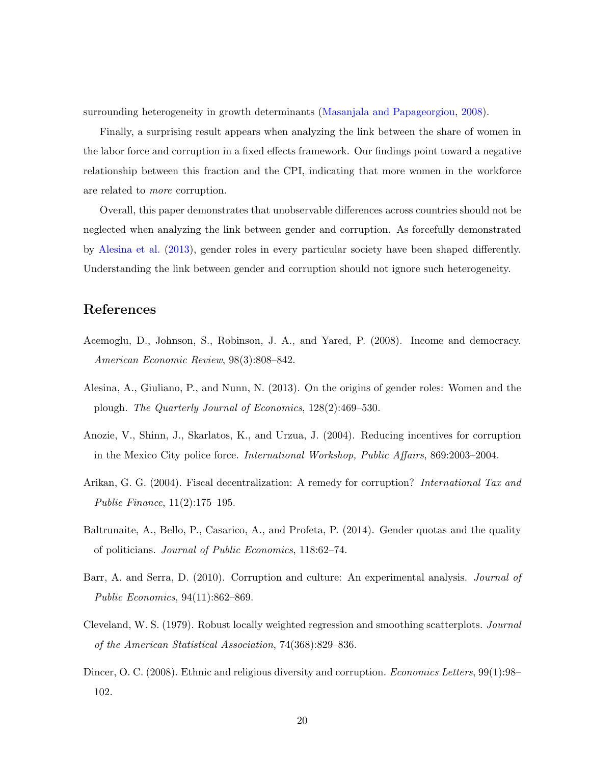surrounding heterogeneity in growth determinants [\(Masanjala and Papageorgiou,](#page-24-2) [2008\)](#page-24-2).

Finally, a surprising result appears when analyzing the link between the share of women in the labor force and corruption in a fixed effects framework. Our findings point toward a negative relationship between this fraction and the CPI, indicating that more women in the workforce are related to more corruption.

Overall, this paper demonstrates that unobservable differences across countries should not be neglected when analyzing the link between gender and corruption. As forcefully demonstrated by [Alesina et al.](#page-22-1) [\(2013\)](#page-22-1), gender roles in every particular society have been shaped differently. Understanding the link between gender and corruption should not ignore such heterogeneity.

## References

- <span id="page-22-0"></span>Acemoglu, D., Johnson, S., Robinson, J. A., and Yared, P. (2008). Income and democracy. American Economic Review, 98(3):808–842.
- <span id="page-22-1"></span>Alesina, A., Giuliano, P., and Nunn, N. (2013). On the origins of gender roles: Women and the plough. The Quarterly Journal of Economics, 128(2):469–530.
- <span id="page-22-5"></span>Anozie, V., Shinn, J., Skarlatos, K., and Urzua, J. (2004). Reducing incentives for corruption in the Mexico City police force. International Workshop, Public Affairs, 869:2003–2004.
- <span id="page-22-4"></span>Arikan, G. G. (2004). Fiscal decentralization: A remedy for corruption? *International Tax and* Public Finance, 11(2):175–195.
- <span id="page-22-3"></span>Baltrunaite, A., Bello, P., Casarico, A., and Profeta, P. (2014). Gender quotas and the quality of politicians. Journal of Public Economics, 118:62–74.
- <span id="page-22-2"></span>Barr, A. and Serra, D. (2010). Corruption and culture: An experimental analysis. *Journal of* Public Economics, 94(11):862–869.
- <span id="page-22-6"></span>Cleveland, W. S. (1979). Robust locally weighted regression and smoothing scatterplots. Journal of the American Statistical Association, 74(368):829–836.
- <span id="page-22-7"></span>Dincer, O. C. (2008). Ethnic and religious diversity and corruption. *Economics Letters*, 99(1):98– 102.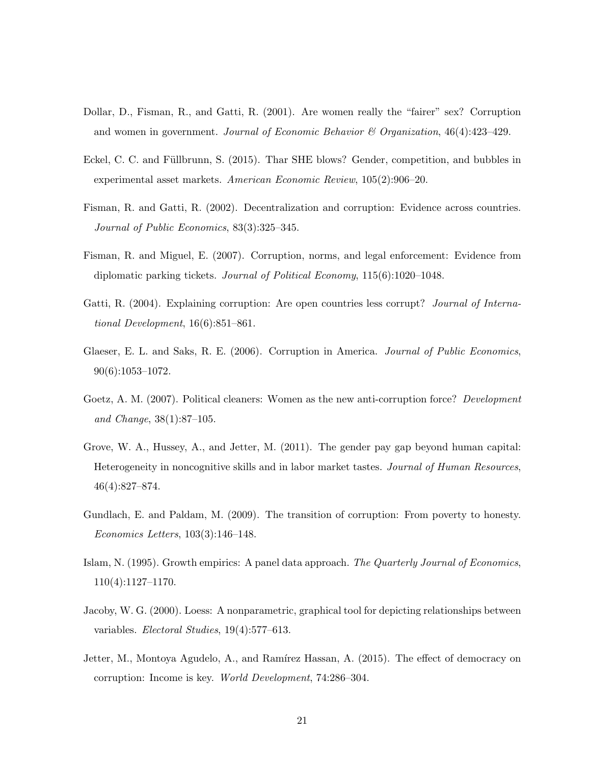- <span id="page-23-2"></span>Dollar, D., Fisman, R., and Gatti, R. (2001). Are women really the "fairer" sex? Corruption and women in government. Journal of Economic Behavior  $\mathcal B$  Organization, 46(4):423-429.
- <span id="page-23-4"></span>Eckel, C. C. and Füllbrunn, S. (2015). Thar SHE blows? Gender, competition, and bubbles in experimental asset markets. American Economic Review, 105(2):906–20.
- <span id="page-23-10"></span>Fisman, R. and Gatti, R. (2002). Decentralization and corruption: Evidence across countries. Journal of Public Economics, 83(3):325–345.
- <span id="page-23-1"></span>Fisman, R. and Miguel, E. (2007). Corruption, norms, and legal enforcement: Evidence from diplomatic parking tickets. Journal of Political Economy, 115(6):1020–1048.
- <span id="page-23-5"></span>Gatti, R. (2004). Explaining corruption: Are open countries less corrupt? *Journal of Interna*tional Development, 16(6):851–861.
- <span id="page-23-6"></span>Glaeser, E. L. and Saks, R. E. (2006). Corruption in America. Journal of Public Economics, 90(6):1053–1072.
- <span id="page-23-7"></span>Goetz, A. M. (2007). Political cleaners: Women as the new anti-corruption force? Development and Change, 38(1):87–105.
- <span id="page-23-3"></span>Grove, W. A., Hussey, A., and Jetter, M. (2011). The gender pay gap beyond human capital: Heterogeneity in noncognitive skills and in labor market tastes. Journal of Human Resources, 46(4):827–874.
- <span id="page-23-9"></span>Gundlach, E. and Paldam, M. (2009). The transition of corruption: From poverty to honesty. Economics Letters, 103(3):146–148.
- <span id="page-23-0"></span>Islam, N. (1995). Growth empirics: A panel data approach. The Quarterly Journal of Economics, 110(4):1127–1170.
- <span id="page-23-8"></span>Jacoby, W. G. (2000). Loess: A nonparametric, graphical tool for depicting relationships between variables. Electoral Studies, 19(4):577–613.
- <span id="page-23-11"></span>Jetter, M., Montoya Agudelo, A., and Ramírez Hassan, A. (2015). The effect of democracy on corruption: Income is key. World Development, 74:286–304.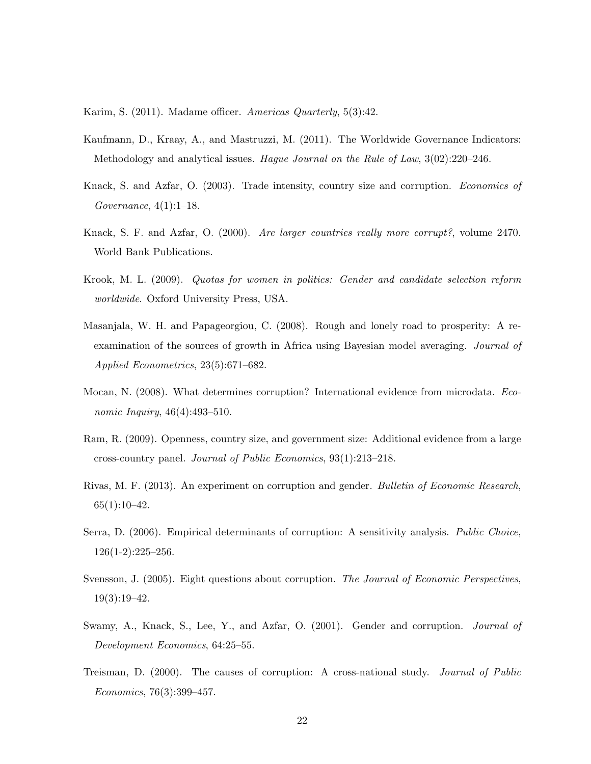<span id="page-24-4"></span>Karim, S. (2011). Madame officer. Americas Quarterly, 5(3):42.

- <span id="page-24-8"></span>Kaufmann, D., Kraay, A., and Mastruzzi, M. (2011). The Worldwide Governance Indicators: Methodology and analytical issues. Hague Journal on the Rule of Law, 3(02):220–246.
- <span id="page-24-10"></span>Knack, S. and Azfar, O. (2003). Trade intensity, country size and corruption. Economics of Governance, 4(1):1–18.
- <span id="page-24-6"></span>Knack, S. F. and Azfar, O. (2000). Are larger countries really more corrupt?, volume 2470. World Bank Publications.
- <span id="page-24-1"></span>Krook, M. L. (2009). Quotas for women in politics: Gender and candidate selection reform worldwide. Oxford University Press, USA.
- <span id="page-24-2"></span>Masanjala, W. H. and Papageorgiou, C. (2008). Rough and lonely road to prosperity: A reexamination of the sources of growth in Africa using Bayesian model averaging. Journal of Applied Econometrics, 23(5):671–682.
- <span id="page-24-11"></span>Mocan, N. (2008). What determines corruption? International evidence from microdata. Economic Inquiry, 46(4):493-510.
- <span id="page-24-0"></span>Ram, R. (2009). Openness, country size, and government size: Additional evidence from a large cross-country panel. Journal of Public Economics, 93(1):213–218.
- <span id="page-24-5"></span>Rivas, M. F. (2013). An experiment on corruption and gender. Bulletin of Economic Research,  $65(1):10-42.$
- <span id="page-24-7"></span>Serra, D. (2006). Empirical determinants of corruption: A sensitivity analysis. Public Choice, 126(1-2):225–256.
- <span id="page-24-12"></span>Svensson, J. (2005). Eight questions about corruption. The Journal of Economic Perspectives, 19(3):19–42.
- <span id="page-24-3"></span>Swamy, A., Knack, S., Lee, Y., and Azfar, O. (2001). Gender and corruption. Journal of Development Economics, 64:25–55.
- <span id="page-24-9"></span>Treisman, D. (2000). The causes of corruption: A cross-national study. Journal of Public Economics, 76(3):399–457.